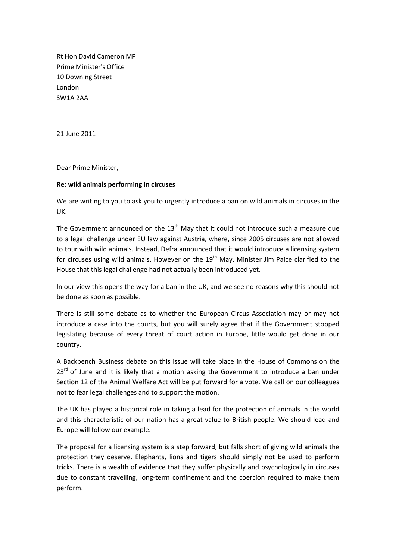Rt Hon David Cameron MP Prime Minister's Office 10 Downing Street London SW1A 2AA

21 June 2011

Dear Prime Minister,

## **Re: wild animals performing in circuses**

We are writing to you to ask you to urgently introduce a ban on wild animals in circuses in the UK.

The Government announced on the  $13<sup>th</sup>$  May that it could not introduce such a measure due to a legal challenge under EU law against Austria, where, since 2005 circuses are not allowed to tour with wild animals. Instead, Defra announced that it would introduce a licensing system for circuses using wild animals. However on the  $19<sup>th</sup>$  May, Minister Jim Paice clarified to the House that this legal challenge had not actually been introduced yet.

In our view this opens the way for a ban in the UK, and we see no reasons why this should not be done as soon as possible.

There is still some debate as to whether the European Circus Association may or may not introduce a case into the courts, but you will surely agree that if the Government stopped legislating because of every threat of court action in Europe, little would get done in our country.

A Backbench Business debate on this issue will take place in the House of Commons on the  $23<sup>rd</sup>$  of June and it is likely that a motion asking the Government to introduce a ban under Section 12 of the Animal Welfare Act will be put forward for a vote. We call on our colleagues not to fear legal challenges and to support the motion.

The UK has played a historical role in taking a lead for the protection of animals in the world and this characteristic of our nation has a great value to British people. We should lead and Europe will follow our example.

The proposal for a licensing system is a step forward, but falls short of giving wild animals the protection they deserve. Elephants, lions and tigers should simply not be used to perform tricks. There is a wealth of evidence that they suffer physically and psychologically in circuses due to constant travelling, long-term confinement and the coercion required to make them perform.